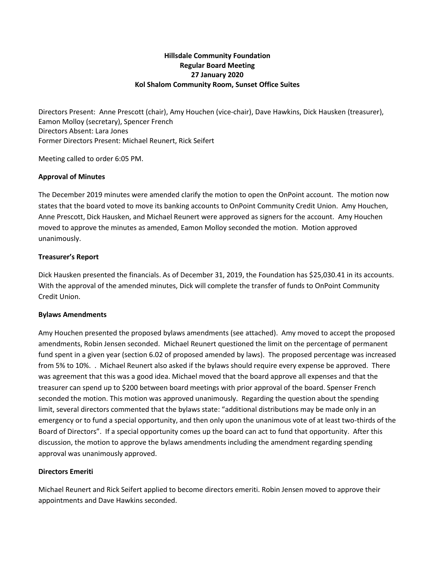# **Hillsdale Community Foundation Regular Board Meeting 27 January 2020 Kol Shalom Community Room, Sunset Office Suites**

Directors Present: Anne Prescott (chair), Amy Houchen (vice-chair), Dave Hawkins, Dick Hausken (treasurer), Eamon Molloy (secretary), Spencer French Directors Absent: Lara Jones Former Directors Present: Michael Reunert, Rick Seifert

Meeting called to order 6:05 PM.

#### **Approval of Minutes**

The December 2019 minutes were amended clarify the motion to open the OnPoint account. The motion now states that the board voted to move its banking accounts to OnPoint Community Credit Union. Amy Houchen, Anne Prescott, Dick Hausken, and Michael Reunert were approved as signers for the account. Amy Houchen moved to approve the minutes as amended, Eamon Molloy seconded the motion. Motion approved unanimously.

## **Treasurer's Report**

Dick Hausken presented the financials. As of December 31, 2019, the Foundation has \$25,030.41 in its accounts. With the approval of the amended minutes, Dick will complete the transfer of funds to OnPoint Community Credit Union.

#### **Bylaws Amendments**

Amy Houchen presented the proposed bylaws amendments (see attached). Amy moved to accept the proposed amendments, Robin Jensen seconded. Michael Reunert questioned the limit on the percentage of permanent fund spent in a given year (section 6.02 of proposed amended by laws). The proposed percentage was increased from 5% to 10%. . Michael Reunert also asked if the bylaws should require every expense be approved. There was agreement that this was a good idea. Michael moved that the board approve all expenses and that the treasurer can spend up to \$200 between board meetings with prior approval of the board. Spenser French seconded the motion. This motion was approved unanimously. Regarding the question about the spending limit, several directors commented that the bylaws state: "additional distributions may be made only in an emergency or to fund a special opportunity, and then only upon the unanimous vote of at least two-thirds of the Board of Directors". If a special opportunity comes up the board can act to fund that opportunity. After this discussion, the motion to approve the bylaws amendments including the amendment regarding spending approval was unanimously approved.

## **Directors Emeriti**

Michael Reunert and Rick Seifert applied to become directors emeriti. Robin Jensen moved to approve their appointments and Dave Hawkins seconded.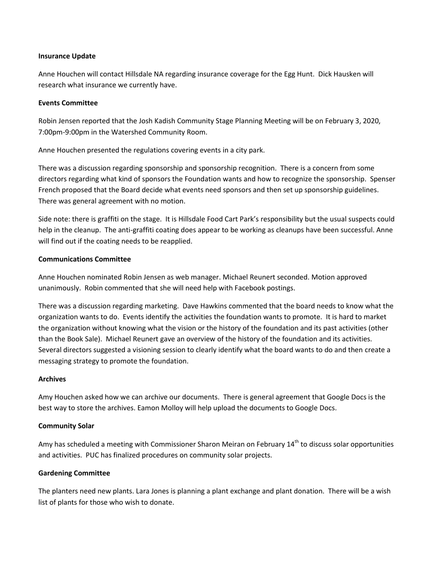#### **Insurance Update**

Anne Houchen will contact Hillsdale NA regarding insurance coverage for the Egg Hunt. Dick Hausken will research what insurance we currently have.

#### **Events Committee**

Robin Jensen reported that the Josh Kadish Community Stage Planning Meeting will be on February 3, 2020, 7:00pm-9:00pm in the Watershed Community Room.

Anne Houchen presented the regulations covering events in a city park.

There was a discussion regarding sponsorship and sponsorship recognition. There is a concern from some directors regarding what kind of sponsors the Foundation wants and how to recognize the sponsorship. Spenser French proposed that the Board decide what events need sponsors and then set up sponsorship guidelines. There was general agreement with no motion.

Side note: there is graffiti on the stage. It is Hillsdale Food Cart Park's responsibility but the usual suspects could help in the cleanup. The anti-graffiti coating does appear to be working as cleanups have been successful. Anne will find out if the coating needs to be reapplied.

## **Communications Committee**

Anne Houchen nominated Robin Jensen as web manager. Michael Reunert seconded. Motion approved unanimously. Robin commented that she will need help with Facebook postings.

There was a discussion regarding marketing. Dave Hawkins commented that the board needs to know what the organization wants to do. Events identify the activities the foundation wants to promote. It is hard to market the organization without knowing what the vision or the history of the foundation and its past activities (other than the Book Sale). Michael Reunert gave an overview of the history of the foundation and its activities. Several directors suggested a visioning session to clearly identify what the board wants to do and then create a messaging strategy to promote the foundation.

## **Archives**

Amy Houchen asked how we can archive our documents. There is general agreement that Google Docs is the best way to store the archives. Eamon Molloy will help upload the documents to Google Docs.

## **Community Solar**

Amy has scheduled a meeting with Commissioner Sharon Meiran on February 14<sup>th</sup> to discuss solar opportunities and activities. PUC has finalized procedures on community solar projects.

## **Gardening Committee**

The planters need new plants. Lara Jones is planning a plant exchange and plant donation. There will be a wish list of plants for those who wish to donate.